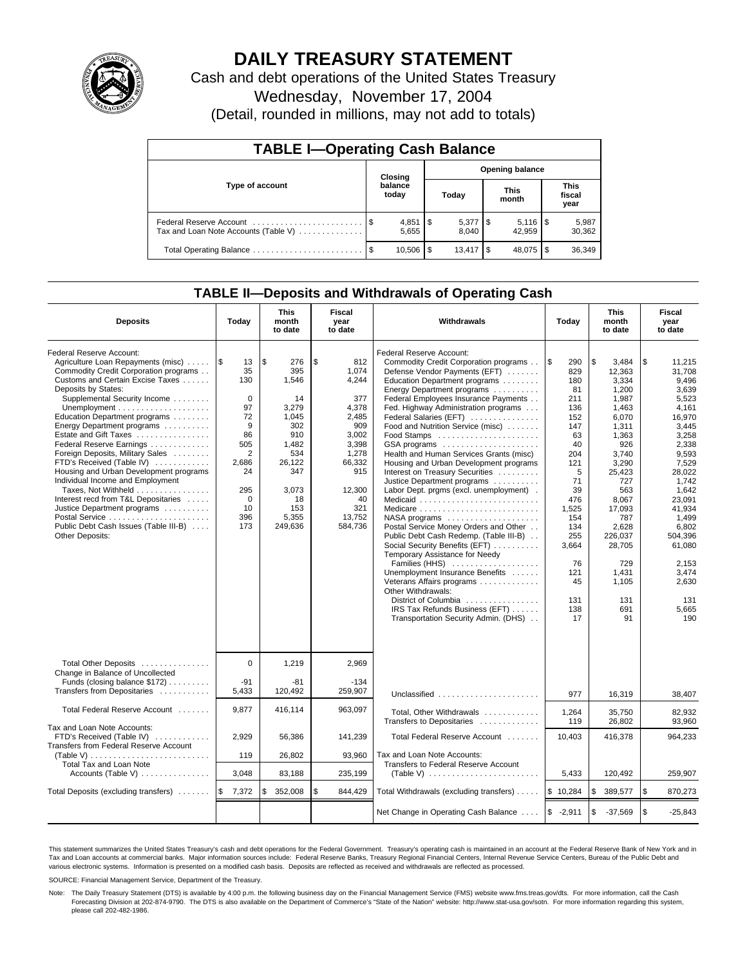

# **DAILY TREASURY STATEMENT**

Cash and debt operations of the United States Treasury Wednesday, November 17, 2004

(Detail, rounded in millions, may not add to totals)

| <b>TABLE I-Operating Cash Balance</b>                           |  |                      |                        |                      |     |                         |  |                               |  |  |
|-----------------------------------------------------------------|--|----------------------|------------------------|----------------------|-----|-------------------------|--|-------------------------------|--|--|
|                                                                 |  | Closing              | <b>Opening balance</b> |                      |     |                         |  |                               |  |  |
| Type of account                                                 |  | balance<br>today     |                        | Today                |     | <b>This</b><br>month    |  | <b>This</b><br>fiscal<br>year |  |  |
| Federal Reserve Account<br>Tax and Loan Note Accounts (Table V) |  | $4,851$ \\$<br>5,655 |                        | $5,377$ \\$<br>8.040 |     | $5,116$ \ $$$<br>42.959 |  | 5,987<br>30,362               |  |  |
|                                                                 |  | 10.506               | l \$                   | 13.417               | 1 S | 48.075                  |  | 36,349                        |  |  |

## **TABLE II—Deposits and Withdrawals of Operating Cash**

| <b>Deposits</b>                                                                                                                                                                                                                                                                                                                                                                                                                                                                                                                                                                                                                                                                      | Today                                                                                                                             | <b>This</b><br>month<br>to date                                                                                                            | Fiscal<br>Withdrawals<br>year<br>to date                                                                                                            |                                                                                                                                                                                                                                                                                                                                                                                                                                                                                                                                                                                                                                                                                                                                                                                                                                                                                                                                                                         | Today                                                                                                                                                                                           | <b>This</b><br>month<br>to date                                                                                                                                                                                                            | Fiscal<br>year<br>to date                                                                                                                                                                                                                                  |
|--------------------------------------------------------------------------------------------------------------------------------------------------------------------------------------------------------------------------------------------------------------------------------------------------------------------------------------------------------------------------------------------------------------------------------------------------------------------------------------------------------------------------------------------------------------------------------------------------------------------------------------------------------------------------------------|-----------------------------------------------------------------------------------------------------------------------------------|--------------------------------------------------------------------------------------------------------------------------------------------|-----------------------------------------------------------------------------------------------------------------------------------------------------|-------------------------------------------------------------------------------------------------------------------------------------------------------------------------------------------------------------------------------------------------------------------------------------------------------------------------------------------------------------------------------------------------------------------------------------------------------------------------------------------------------------------------------------------------------------------------------------------------------------------------------------------------------------------------------------------------------------------------------------------------------------------------------------------------------------------------------------------------------------------------------------------------------------------------------------------------------------------------|-------------------------------------------------------------------------------------------------------------------------------------------------------------------------------------------------|--------------------------------------------------------------------------------------------------------------------------------------------------------------------------------------------------------------------------------------------|------------------------------------------------------------------------------------------------------------------------------------------------------------------------------------------------------------------------------------------------------------|
| Federal Reserve Account:<br>Agriculture Loan Repayments (misc)<br>Commodity Credit Corporation programs<br>Customs and Certain Excise Taxes<br>Deposits by States:<br>Supplemental Security Income<br>Unemployment $\dots\dots\dots\dots\dots\dots\dots$<br>Education Department programs<br>Energy Department programs<br>Estate and Gift Taxes<br>Federal Reserve Earnings<br>Foreign Deposits, Military Sales<br>FTD's Received (Table IV)<br>Housing and Urban Development programs<br>Individual Income and Employment<br>Taxes, Not Withheld<br>Interest recd from T&L Depositaries<br>Justice Department programs<br>Public Debt Cash Issues (Table III-B)<br>Other Deposits: | 1\$<br>13<br>35<br>130<br>$\mathbf 0$<br>97<br>72<br>9<br>86<br>505<br>2<br>2,686<br>24<br>295<br>$\mathbf 0$<br>10<br>396<br>173 | \$<br>276<br>395<br>1,546<br>14<br>3,279<br>1,045<br>302<br>910<br>1,482<br>534<br>26,122<br>347<br>3,073<br>18<br>153<br>5,355<br>249,636 | \$<br>812<br>1.074<br>4,244<br>377<br>4,378<br>2,485<br>909<br>3,002<br>3,398<br>1,278<br>66,332<br>915<br>12,300<br>40<br>321<br>13,752<br>584,736 | Federal Reserve Account:<br>Commodity Credit Corporation programs<br>Defense Vendor Payments (EFT)<br>Education Department programs<br>Energy Department programs<br>Federal Employees Insurance Payments<br>Fed. Highway Administration programs<br>Federal Salaries (EFT)<br>Food and Nutrition Service (misc)<br>GSA programs<br>Health and Human Services Grants (misc)<br>Housing and Urban Development programs<br>Interest on Treasury Securities<br>Justice Department programs<br>Labor Dept. prgms (excl. unemployment).<br>Medicaid<br>$NASA$ programs $\ldots \ldots \ldots \ldots \ldots$<br>Postal Service Money Orders and Other<br>Public Debt Cash Redemp. (Table III-B)<br>Social Security Benefits (EFT)<br>Temporary Assistance for Needy<br>Families (HHS)<br>Unemployment Insurance Benefits<br>Veterans Affairs programs<br>Other Withdrawals:<br>District of Columbia<br>IRS Tax Refunds Business (EFT)<br>Transportation Security Admin. (DHS) | <b>S</b><br>290<br>829<br>180<br>81<br>211<br>136<br>152<br>147<br>63<br>40<br>204<br>121<br>5<br>71<br>39<br>476<br>1,525<br>154<br>134<br>255<br>3,664<br>76<br>121<br>45<br>131<br>138<br>17 | \$<br>3,484<br>12.363<br>3.334<br>1,200<br>1,987<br>1,463<br>6,070<br>1,311<br>1.363<br>926<br>3,740<br>3,290<br>25,423<br>727<br>563<br>8.067<br>17,093<br>787<br>2,628<br>226.037<br>28,705<br>729<br>1,431<br>1,105<br>131<br>691<br>91 | \$<br>11,215<br>31.708<br>9.496<br>3,639<br>5,523<br>4.161<br>16,970<br>3,445<br>3.258<br>2,338<br>9,593<br>7,529<br>28,022<br>1.742<br>1,642<br>23.091<br>41.934<br>1,499<br>6,802<br>504.396<br>61,080<br>2.153<br>3,474<br>2,630<br>131<br>5,665<br>190 |
| Total Other Deposits<br>Change in Balance of Uncollected<br>Funds (closing balance $$172$ )<br>Transfers from Depositaries                                                                                                                                                                                                                                                                                                                                                                                                                                                                                                                                                           | $\Omega$<br>-91<br>5,433                                                                                                          | 1,219<br>-81<br>120,492                                                                                                                    | 2,969<br>$-134$<br>259,907                                                                                                                          | Unclassified                                                                                                                                                                                                                                                                                                                                                                                                                                                                                                                                                                                                                                                                                                                                                                                                                                                                                                                                                            | 977                                                                                                                                                                                             | 16,319                                                                                                                                                                                                                                     | 38,407                                                                                                                                                                                                                                                     |
| Total Federal Reserve Account                                                                                                                                                                                                                                                                                                                                                                                                                                                                                                                                                                                                                                                        | 9,877                                                                                                                             | 416,114                                                                                                                                    | 963,097                                                                                                                                             | Total, Other Withdrawals<br>Transfers to Depositaries                                                                                                                                                                                                                                                                                                                                                                                                                                                                                                                                                                                                                                                                                                                                                                                                                                                                                                                   | 1,264<br>119                                                                                                                                                                                    | 35,750<br>26,802                                                                                                                                                                                                                           | 82,932<br>93,960                                                                                                                                                                                                                                           |
| Tax and Loan Note Accounts:<br>FTD's Received (Table IV)<br>Transfers from Federal Reserve Account                                                                                                                                                                                                                                                                                                                                                                                                                                                                                                                                                                                   | 2,929                                                                                                                             | 56,386                                                                                                                                     | 141,239                                                                                                                                             | Total Federal Reserve Account                                                                                                                                                                                                                                                                                                                                                                                                                                                                                                                                                                                                                                                                                                                                                                                                                                                                                                                                           | 10,403                                                                                                                                                                                          | 416,378                                                                                                                                                                                                                                    | 964,233                                                                                                                                                                                                                                                    |
| (Table V) $\ldots \ldots \ldots \ldots \ldots \ldots \ldots \ldots$<br><b>Total Tax and Loan Note</b><br>Accounts (Table V) $\dots \dots \dots \dots$                                                                                                                                                                                                                                                                                                                                                                                                                                                                                                                                | 119<br>3,048                                                                                                                      | 26,802<br>83,188                                                                                                                           | 93,960<br>235,199                                                                                                                                   | Tax and Loan Note Accounts:<br>Transfers to Federal Reserve Account                                                                                                                                                                                                                                                                                                                                                                                                                                                                                                                                                                                                                                                                                                                                                                                                                                                                                                     | 5,433                                                                                                                                                                                           | 120,492                                                                                                                                                                                                                                    | 259,907                                                                                                                                                                                                                                                    |
|                                                                                                                                                                                                                                                                                                                                                                                                                                                                                                                                                                                                                                                                                      |                                                                                                                                   | 352,008<br>\$                                                                                                                              | \$                                                                                                                                                  |                                                                                                                                                                                                                                                                                                                                                                                                                                                                                                                                                                                                                                                                                                                                                                                                                                                                                                                                                                         | \$10,284                                                                                                                                                                                        | \$<br>389,577                                                                                                                                                                                                                              | l \$<br>870,273                                                                                                                                                                                                                                            |
| Total Deposits (excluding transfers)                                                                                                                                                                                                                                                                                                                                                                                                                                                                                                                                                                                                                                                 | <b>S</b><br>7,372                                                                                                                 |                                                                                                                                            | 844,429                                                                                                                                             | Total Withdrawals (excluding transfers)                                                                                                                                                                                                                                                                                                                                                                                                                                                                                                                                                                                                                                                                                                                                                                                                                                                                                                                                 |                                                                                                                                                                                                 |                                                                                                                                                                                                                                            |                                                                                                                                                                                                                                                            |
|                                                                                                                                                                                                                                                                                                                                                                                                                                                                                                                                                                                                                                                                                      |                                                                                                                                   |                                                                                                                                            |                                                                                                                                                     | Net Change in Operating Cash Balance                                                                                                                                                                                                                                                                                                                                                                                                                                                                                                                                                                                                                                                                                                                                                                                                                                                                                                                                    | $$ -2,911$                                                                                                                                                                                      | \$<br>$-37,569$                                                                                                                                                                                                                            | \$<br>$-25,843$                                                                                                                                                                                                                                            |

This statement summarizes the United States Treasury's cash and debt operations for the Federal Government. Treasury's operating cash is maintained in an account at the Federal Reserve Bank of New York and in Tax and Loan accounts at commercial banks. Major information sources include: Federal Reserve Banks, Treasury Regional Financial Centers, Internal Revenue Service Centers, Bureau of the Public Debt and<br>various electronic s

SOURCE: Financial Management Service, Department of the Treasury.

Note: The Daily Treasury Statement (DTS) is available by 4:00 p.m. the following business day on the Financial Management Service (FMS) website www.fms.treas.gov/dts. For more information, call the Cash Forecasting Division at 202-874-9790. The DTS is also available on the Department of Commerce's "State of the Nation" website: http://www.stat-usa.gov/sotn. For more information regarding this system, please call 202-482-1986.